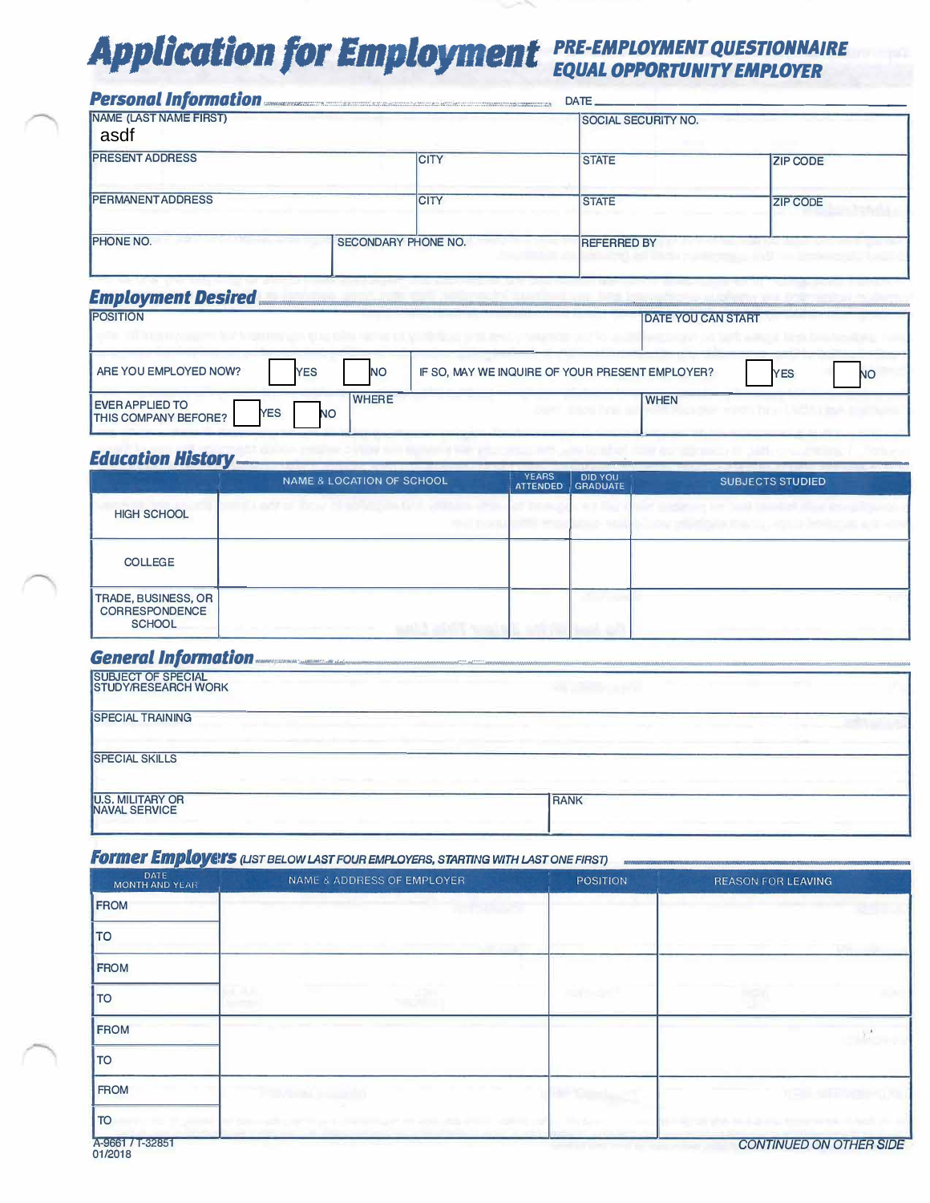# **Application for Employment** PRE-EMPLOYMENT QUESTIONNAIRE

|                                          | Personal Information | DATE.              |                            |  |  |
|------------------------------------------|----------------------|--------------------|----------------------------|--|--|
| NAME (LAST NAME FIRST)<br>asdf           |                      |                    | <b>SOCIAL SECURITY NO.</b> |  |  |
| <b>PRESENT ADDRESS</b>                   | <b>CITY</b>          | <b>STATE</b>       | <b>ZIP CODE</b>            |  |  |
| <b>IPERMANENT ADDRESS</b>                | <b>CITY</b>          | <b>STATE</b>       | <b>ZIP CODE</b>            |  |  |
| <b>IPHONE NO.</b><br>SECONDARY PHONE NO. |                      | <b>REFERRED BY</b> |                            |  |  |

#### **Employment Desired**

| <b>POSITION</b>                                                                                  | <b>DATE YOU CAN START</b>                                           |
|--------------------------------------------------------------------------------------------------|---------------------------------------------------------------------|
| ARE YOU EMPLOYED NOW?<br><b>YES</b><br><b>NO</b>                                                 | IF SO, MAY WE INQUIRE OF YOUR PRESENT EMPLOYER?<br><b>YES</b><br>NC |
| <b>WHERE</b><br><b>EVER APPLIED TO</b><br><b>YES</b><br><b>NO</b><br><b>THIS COMPANY BEFORE?</b> | <b>WHEN</b>                                                         |

### **Education History-**

|                                                                      | NAME & LOCATION OF SCHOOL                             | <b>YEARS</b><br><b>ATTENDED</b> | <b>DID YOU</b><br><b>GRADUATE</b> | <b>SUBJECTS STUDIED</b>        |
|----------------------------------------------------------------------|-------------------------------------------------------|---------------------------------|-----------------------------------|--------------------------------|
| <b>HIGH SCHOOL</b>                                                   | <b>Visit of Brazilian</b><br><b>RANGE AND RUNNING</b> |                                 |                                   | <b>PROGRAMMENT AND PRODUCT</b> |
| <b>COLLEGE</b>                                                       |                                                       |                                 |                                   |                                |
| <b>TRADE, BUSINESS, OR</b><br><b>CORRESPONDENCE</b><br><b>SCHOOL</b> | and the first process of the con-                     |                                 |                                   |                                |

## **General Information.**

| <b>SUBJECT OF SPECIAL</b><br><b>STUDY/RESEARCH WORK</b> |             |
|---------------------------------------------------------|-------------|
| <b>SPECIAL TRAINING</b>                                 |             |
| <b>SPECIAL SKILLS</b>                                   |             |
| <b>U.S. MILITARY OR</b><br>NAVAL SERVICE                | <b>RANK</b> |

#### **Former Employers** (UST BELOW LAST FOUR EMPLOYERS, STARTING WITH LAST ONE FIRST)

| _____<br>DATE<br><b>MONTH AND YEAR</b> | NAME & ADDRESS OF EMPLOYER                           | <b>POSITION</b> | <b>REASON FOR LEAVING</b> |
|----------------------------------------|------------------------------------------------------|-----------------|---------------------------|
| <b>FROM</b>                            |                                                      |                 |                           |
| <b>TO</b>                              |                                                      |                 |                           |
| FROM                                   |                                                      |                 |                           |
| <b>TO</b>                              |                                                      |                 |                           |
| <b>FROM</b>                            |                                                      |                 |                           |
| <b>TO</b>                              |                                                      |                 |                           |
| <b>FROM</b>                            |                                                      |                 |                           |
| <b>TO</b>                              | and the second of the state of the state of the last | <b>MAY AN</b>   |                           |
| A-9661 / T-32851                       |                                                      |                 | CONTINUIED ON OTHER SIDE  |

 $01/2018$ 

**CONTINUED ON OTHER SIDE**